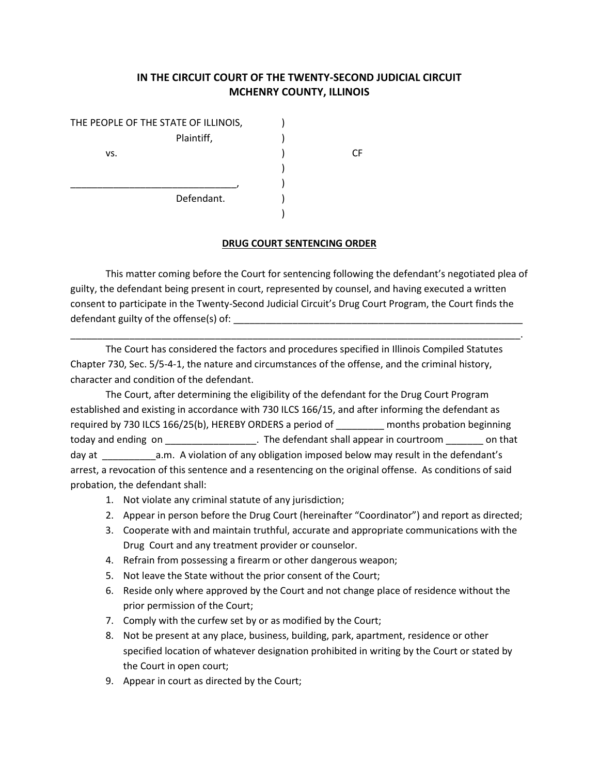## **IN THE CIRCUIT COURT OF THE TWENTY-SECOND JUDICIAL CIRCUIT MCHENRY COUNTY, ILLINOIS**

| THE PEOPLE OF THE STATE OF ILLINOIS, |            |  |
|--------------------------------------|------------|--|
|                                      | Plaintiff, |  |
| VS.                                  |            |  |
|                                      |            |  |
|                                      |            |  |
|                                      | Defendant. |  |
|                                      |            |  |

## **DRUG COURT SENTENCING ORDER**

This matter coming before the Court for sentencing following the defendant's negotiated plea of guilty, the defendant being present in court, represented by counsel, and having executed a written consent to participate in the Twenty-Second Judicial Circuit's Drug Court Program, the Court finds the defendant guilty of the offense(s) of: \_\_\_\_\_\_\_\_\_\_\_\_\_\_\_\_\_\_\_\_\_\_\_\_\_\_\_\_\_\_\_\_\_\_\_\_\_\_\_\_\_\_\_\_\_\_\_\_\_\_\_\_\_\_

\_\_\_\_\_\_\_\_\_\_\_\_\_\_\_\_\_\_\_\_\_\_\_\_\_\_\_\_\_\_\_\_\_\_\_\_\_\_\_\_\_\_\_\_\_\_\_\_\_\_\_\_\_\_\_\_\_\_\_\_\_\_\_\_\_\_\_\_\_\_\_\_\_\_\_\_\_\_\_\_\_\_\_\_.

The Court has considered the factors and procedures specified in Illinois Compiled Statutes Chapter 730, Sec. 5/5-4-1, the nature and circumstances of the offense, and the criminal history, character and condition of the defendant.

The Court, after determining the eligibility of the defendant for the Drug Court Program established and existing in accordance with 730 ILCS 166/15, and after informing the defendant as required by 730 ILCS 166/25(b), HEREBY ORDERS a period of \_\_\_\_\_\_\_\_\_ months probation beginning today and ending on \_\_\_\_\_\_\_\_\_\_\_\_\_\_\_\_\_\_. The defendant shall appear in courtroom \_\_\_\_\_\_\_ on that day at \_\_\_\_\_\_\_\_\_\_a.m. A violation of any obligation imposed below may result in the defendant's arrest, a revocation of this sentence and a resentencing on the original offense. As conditions of said probation, the defendant shall:

- 1. Not violate any criminal statute of any jurisdiction;
- 2. Appear in person before the Drug Court (hereinafter "Coordinator") and report as directed;
- 3. Cooperate with and maintain truthful, accurate and appropriate communications with the Drug Court and any treatment provider or counselor.
- 4. Refrain from possessing a firearm or other dangerous weapon;
- 5. Not leave the State without the prior consent of the Court;
- 6. Reside only where approved by the Court and not change place of residence without the prior permission of the Court;
- 7. Comply with the curfew set by or as modified by the Court;
- 8. Not be present at any place, business, building, park, apartment, residence or other specified location of whatever designation prohibited in writing by the Court or stated by the Court in open court;
- 9. Appear in court as directed by the Court;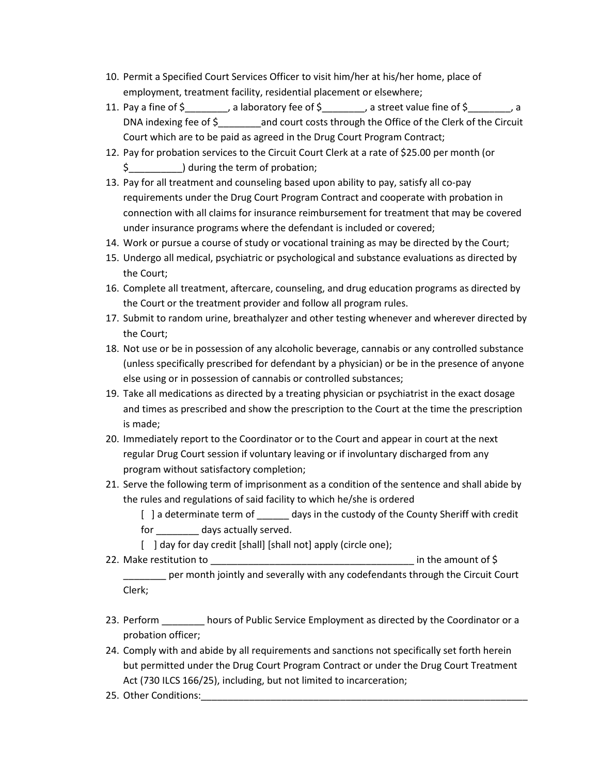- 10. Permit a Specified Court Services Officer to visit him/her at his/her home, place of employment, treatment facility, residential placement or elsewhere;
- 11. Pay a fine of  $\zeta$  \_\_\_\_\_\_\_, a laboratory fee of  $\zeta$  \_\_\_\_\_\_, a street value fine of  $\zeta$  \_\_\_\_\_, a DNA indexing fee of \$\_\_\_\_\_\_\_\_and court costs through the Office of the Clerk of the Circuit Court which are to be paid as agreed in the Drug Court Program Contract;
- 12. Pay for probation services to the Circuit Court Clerk at a rate of \$25.00 per month (or \$\_\_\_\_\_\_\_\_\_\_) during the term of probation;
- 13. Pay for all treatment and counseling based upon ability to pay, satisfy all co-pay requirements under the Drug Court Program Contract and cooperate with probation in connection with all claims for insurance reimbursement for treatment that may be covered under insurance programs where the defendant is included or covered;
- 14. Work or pursue a course of study or vocational training as may be directed by the Court;
- 15. Undergo all medical, psychiatric or psychological and substance evaluations as directed by the Court;
- 16. Complete all treatment, aftercare, counseling, and drug education programs as directed by the Court or the treatment provider and follow all program rules.
- 17. Submit to random urine, breathalyzer and other testing whenever and wherever directed by the Court;
- 18. Not use or be in possession of any alcoholic beverage, cannabis or any controlled substance (unless specifically prescribed for defendant by a physician) or be in the presence of anyone else using or in possession of cannabis or controlled substances;
- 19. Take all medications as directed by a treating physician or psychiatrist in the exact dosage and times as prescribed and show the prescription to the Court at the time the prescription is made;
- 20. Immediately report to the Coordinator or to the Court and appear in court at the next regular Drug Court session if voluntary leaving or if involuntary discharged from any program without satisfactory completion;
- 21. Serve the following term of imprisonment as a condition of the sentence and shall abide by the rules and regulations of said facility to which he/she is ordered
	- [ ] a determinate term of \_\_\_\_\_\_\_ days in the custody of the County Sheriff with credit for days actually served.
	- [ ] day for day credit [shall] [shall not] apply (circle one);
- 22. Make restitution to \_\_\_\_\_\_\_\_\_\_\_\_\_\_\_\_\_\_\_\_\_\_\_\_\_\_\_\_\_\_\_\_\_\_\_\_\_\_ in the amount of \$ \_\_\_\_\_\_\_\_ per month jointly and severally with any codefendants through the Circuit Court Clerk;
- 23. Perform **construents in Automa** hours of Public Service Employment as directed by the Coordinator or a probation officer;
- 24. Comply with and abide by all requirements and sanctions not specifically set forth herein but permitted under the Drug Court Program Contract or under the Drug Court Treatment Act (730 ILCS 166/25), including, but not limited to incarceration;
- 25. Other Conditions: